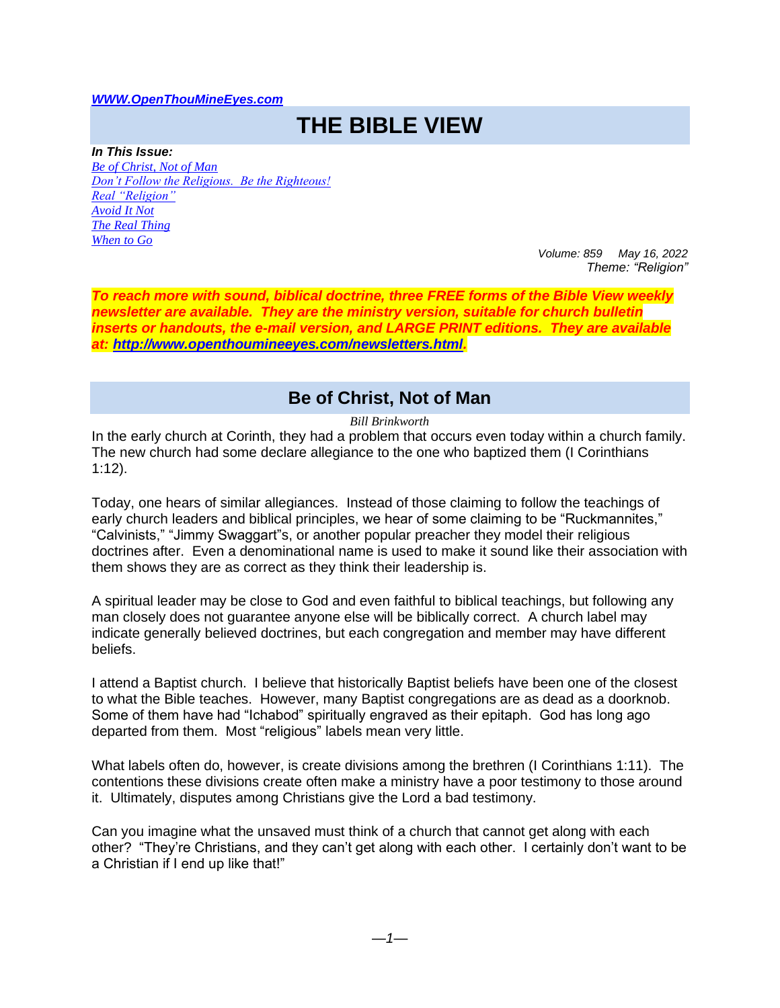#### *[WWW.OpenThouMineEyes.com](http://www.openthoumineeyes.com/)*

# **THE BIBLE VIEW**

*In This Issue: [Be of Christ, Not of Man](#page-0-0) [Don't Follow the Religious. Be the Righteous!](#page-1-0) [Real "Religion"](#page-2-0) [Avoid It Not](#page-2-1) [The Real Thing](#page-2-2) [When to Go](#page-3-0)*

*Volume: 859 May 16, 2022 Theme: "Religion"* 

*To reach more with sound, biblical doctrine, three FREE forms of the Bible View weekly newsletter are available. They are the ministry version, suitable for church bulletin inserts or handouts, the e-mail version, and LARGE PRINT editions. They are available at: [http://www.openthoumineeyes.com/newsletters.html.](http://www.openthoumineeyes.com/newsletters.html)* 

# **Be of Christ, Not of Man**

*Bill Brinkworth*

<span id="page-0-0"></span>In the early church at Corinth, they had a problem that occurs even today within a church family. The new church had some declare allegiance to the one who baptized them (I Corinthians 1:12).

Today, one hears of similar allegiances. Instead of those claiming to follow the teachings of early church leaders and biblical principles, we hear of some claiming to be "Ruckmannites," "Calvinists," "Jimmy Swaggart"s, or another popular preacher they model their religious doctrines after. Even a denominational name is used to make it sound like their association with them shows they are as correct as they think their leadership is.

A spiritual leader may be close to God and even faithful to biblical teachings, but following any man closely does not guarantee anyone else will be biblically correct. A church label may indicate generally believed doctrines, but each congregation and member may have different beliefs.

I attend a Baptist church. I believe that historically Baptist beliefs have been one of the closest to what the Bible teaches. However, many Baptist congregations are as dead as a doorknob. Some of them have had "Ichabod" spiritually engraved as their epitaph. God has long ago departed from them. Most "religious" labels mean very little.

What labels often do, however, is create divisions among the brethren (I Corinthians 1:11). The contentions these divisions create often make a ministry have a poor testimony to those around it. Ultimately, disputes among Christians give the Lord a bad testimony.

Can you imagine what the unsaved must think of a church that cannot get along with each other? "They're Christians, and they can't get along with each other. I certainly don't want to be a Christian if I end up like that!"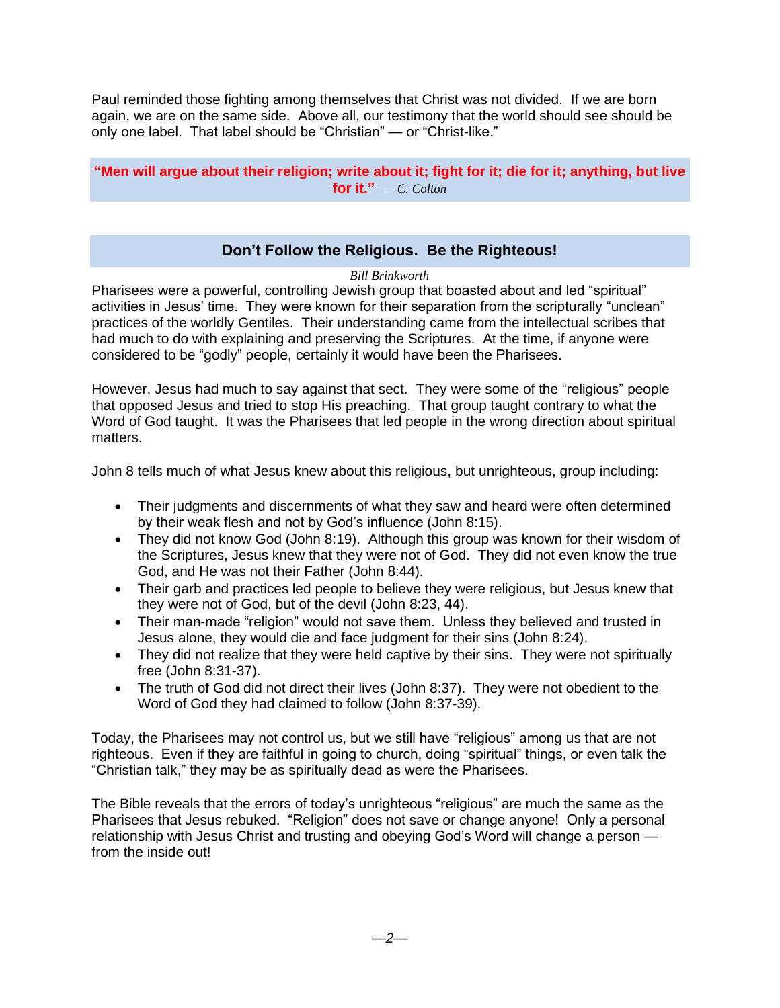Paul reminded those fighting among themselves that Christ was not divided. If we are born again, we are on the same side. Above all, our testimony that the world should see should be only one label. That label should be "Christian" — or "Christ-like."

**"Men will argue about their religion; write about it; fight for it; die for it; anything, but live for it.**"  $-C$ *. Colton* 

# **Don't Follow the Religious. Be the Righteous!**

#### *Bill Brinkworth*

<span id="page-1-0"></span>Pharisees were a powerful, controlling Jewish group that boasted about and led "spiritual" activities in Jesus' time. They were known for their separation from the scripturally "unclean" practices of the worldly Gentiles. Their understanding came from the intellectual scribes that had much to do with explaining and preserving the Scriptures. At the time, if anyone were considered to be "godly" people, certainly it would have been the Pharisees.

However, Jesus had much to say against that sect. They were some of the "religious" people that opposed Jesus and tried to stop His preaching. That group taught contrary to what the Word of God taught. It was the Pharisees that led people in the wrong direction about spiritual matters.

John 8 tells much of what Jesus knew about this religious, but unrighteous, group including:

- Their judgments and discernments of what they saw and heard were often determined by their weak flesh and not by God's influence (John 8:15).
- They did not know God (John 8:19). Although this group was known for their wisdom of the Scriptures, Jesus knew that they were not of God. They did not even know the true God, and He was not their Father (John 8:44).
- Their garb and practices led people to believe they were religious, but Jesus knew that they were not of God, but of the devil (John 8:23, 44).
- Their man-made "religion" would not save them. Unless they believed and trusted in Jesus alone, they would die and face judgment for their sins (John 8:24).
- They did not realize that they were held captive by their sins. They were not spiritually free (John 8:31-37).
- The truth of God did not direct their lives (John 8:37). They were not obedient to the Word of God they had claimed to follow (John 8:37-39).

Today, the Pharisees may not control us, but we still have "religious" among us that are not righteous. Even if they are faithful in going to church, doing "spiritual" things, or even talk the "Christian talk," they may be as spiritually dead as were the Pharisees.

The Bible reveals that the errors of today's unrighteous "religious" are much the same as the Pharisees that Jesus rebuked. "Religion" does not save or change anyone! Only a personal relationship with Jesus Christ and trusting and obeying God's Word will change a person from the inside out!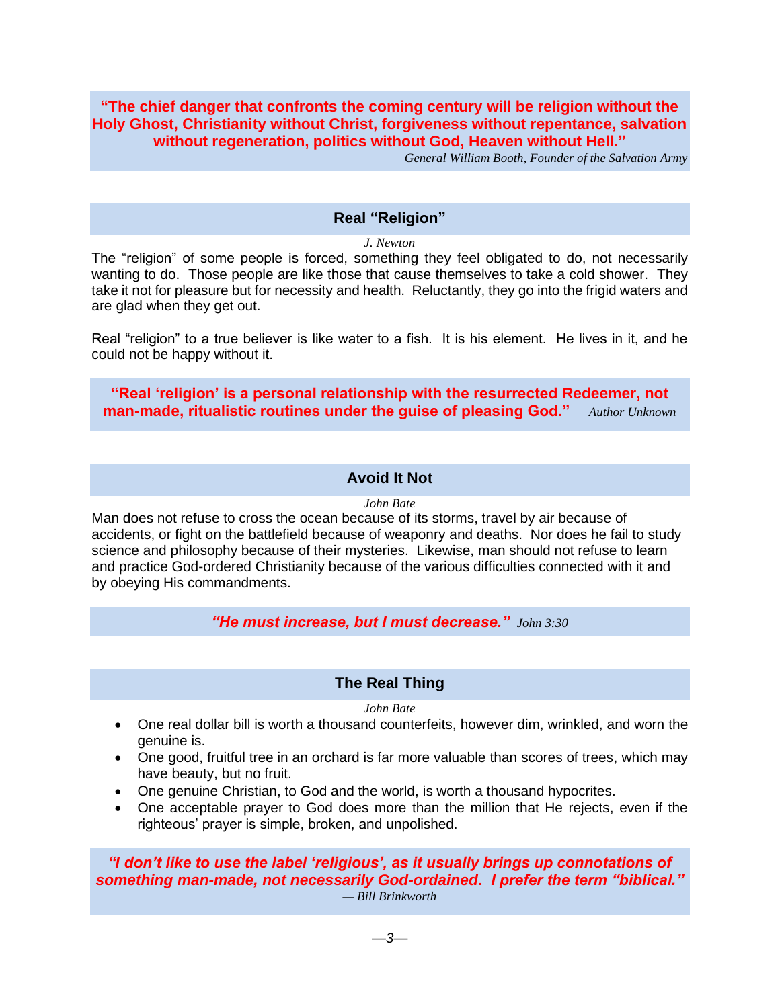## **"The chief danger that confronts the coming century will be religion without the Holy Ghost, Christianity without Christ, forgiveness without repentance, salvation without regeneration, politics without God, Heaven without Hell."**

*— General William Booth, Founder of the Salvation Army*

#### **Real "Religion"**

*J. Newton*

<span id="page-2-0"></span>The "religion" of some people is forced, something they feel obligated to do, not necessarily wanting to do. Those people are like those that cause themselves to take a cold shower. They take it not for pleasure but for necessity and health. Reluctantly, they go into the frigid waters and are glad when they get out.

Real "religion" to a true believer is like water to a fish. It is his element. He lives in it, and he could not be happy without it.

**"Real 'religion' is a personal relationship with the resurrected Redeemer, not man-made, ritualistic routines under the guise of pleasing God."** *— Author Unknown*

## **Avoid It Not**

#### *John Bate*

<span id="page-2-1"></span>Man does not refuse to cross the ocean because of its storms, travel by air because of accidents, or fight on the battlefield because of weaponry and deaths. Nor does he fail to study science and philosophy because of their mysteries. Likewise, man should not refuse to learn and practice God-ordered Christianity because of the various difficulties connected with it and by obeying His commandments.

*"He must increase, but I must decrease." John 3:30*

#### **The Real Thing**

*John Bate*

- <span id="page-2-2"></span>• One real dollar bill is worth a thousand counterfeits, however dim, wrinkled, and worn the genuine is.
- One good, fruitful tree in an orchard is far more valuable than scores of trees, which may have beauty, but no fruit.
- One genuine Christian, to God and the world, is worth a thousand hypocrites.
- One acceptable prayer to God does more than the million that He rejects, even if the righteous' prayer is simple, broken, and unpolished.

*"I don't like to use the label 'religious', as it usually brings up connotations of something man-made, not necessarily God-ordained. I prefer the term "biblical." — Bill Brinkworth*